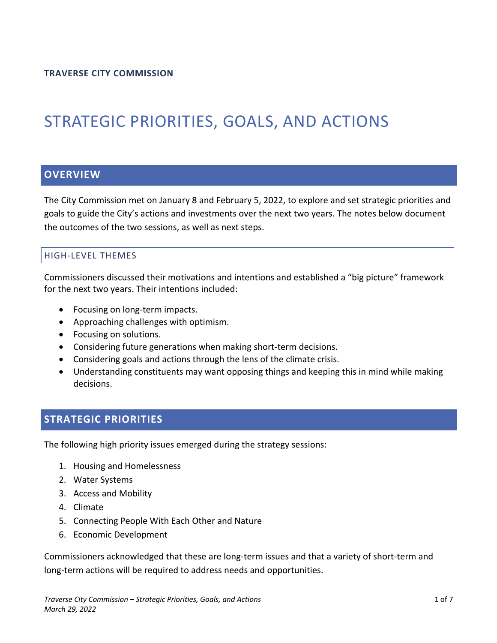# STRATEGIC PRIORITIES, GOALS, AND ACTIONS

## **OVERVIEW**

The City Commission met on January 8 and February 5, 2022, to explore and set strategic priorities and goals to guide the City's actions and investments over the next two years. The notes below document the outcomes of the two sessions, as well as next steps.

## HIGH-LEVEL THEMES

Commissioners discussed their motivations and intentions and established a "big picture" framework for the next two years. Their intentions included:

- Focusing on long-term impacts.
- Approaching challenges with optimism.
- Focusing on solutions.
- Considering future generations when making short-term decisions.
- Considering goals and actions through the lens of the climate crisis.
- Understanding constituents may want opposing things and keeping this in mind while making decisions.

# **STRATEGIC PRIORITIES**

The following high priority issues emerged during the strategy sessions:

- 1. Housing and Homelessness
- 2. Water Systems
- 3. Access and Mobility
- 4. Climate
- 5. Connecting People With Each Other and Nature
- 6. Economic Development

Commissioners acknowledged that these are long-term issues and that a variety of short-term and long-term actions will be required to address needs and opportunities.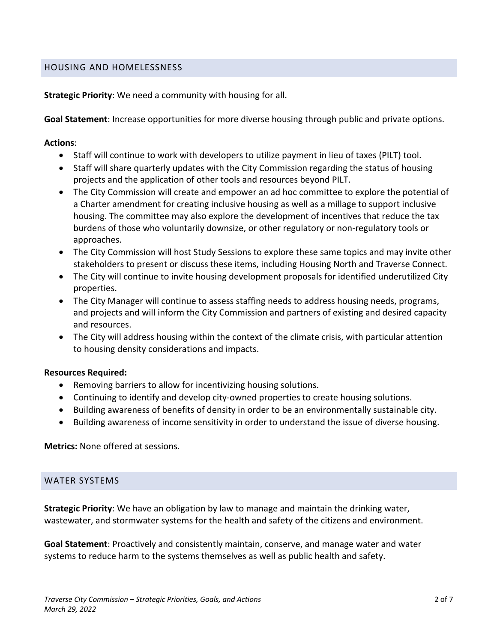## HOUSING AND HOMELESSNESS

**Strategic Priority**: We need a community with housing for all.

**Goal Statement**: Increase opportunities for more diverse housing through public and private options.

#### **Actions**:

- Staff will continue to work with developers to utilize payment in lieu of taxes (PILT) tool.
- Staff will share quarterly updates with the City Commission regarding the status of housing projects and the application of other tools and resources beyond PILT.
- The City Commission will create and empower an ad hoc committee to explore the potential of a Charter amendment for creating inclusive housing as well as a millage to support inclusive housing. The committee may also explore the development of incentives that reduce the tax burdens of those who voluntarily downsize, or other regulatory or non-regulatory tools or approaches.
- The City Commission will host Study Sessions to explore these same topics and may invite other stakeholders to present or discuss these items, including Housing North and Traverse Connect.
- The City will continue to invite housing development proposals for identified underutilized City properties.
- The City Manager will continue to assess staffing needs to address housing needs, programs, and projects and will inform the City Commission and partners of existing and desired capacity and resources.
- The City will address housing within the context of the climate crisis, with particular attention to housing density considerations and impacts.

#### **Resources Required:**

- Removing barriers to allow for incentivizing housing solutions.
- Continuing to identify and develop city-owned properties to create housing solutions.
- Building awareness of benefits of density in order to be an environmentally sustainable city.
- Building awareness of income sensitivity in order to understand the issue of diverse housing.

**Metrics:** None offered at sessions.

## WATER SYSTEMS

**Strategic Priority**: We have an obligation by law to manage and maintain the drinking water, wastewater, and stormwater systems for the health and safety of the citizens and environment.

**Goal Statement**: Proactively and consistently maintain, conserve, and manage water and water systems to reduce harm to the systems themselves as well as public health and safety.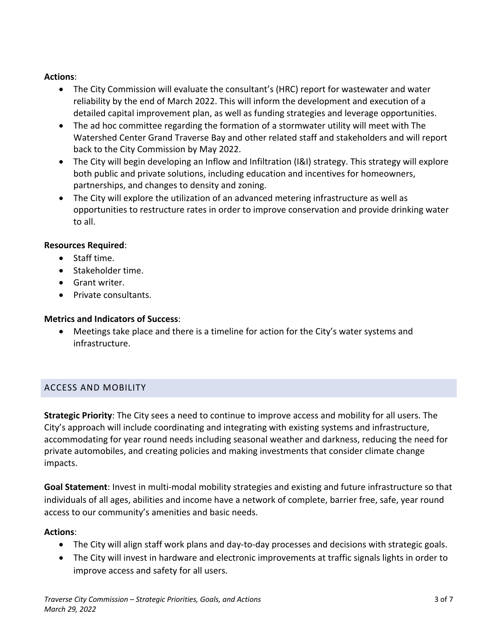## **Actions**:

- The City Commission will evaluate the consultant's (HRC) report for wastewater and water reliability by the end of March 2022. This will inform the development and execution of a detailed capital improvement plan, as well as funding strategies and leverage opportunities.
- The ad hoc committee regarding the formation of a stormwater utility will meet with The Watershed Center Grand Traverse Bay and other related staff and stakeholders and will report back to the City Commission by May 2022.
- The City will begin developing an Inflow and Infiltration (I&I) strategy. This strategy will explore both public and private solutions, including education and incentives for homeowners, partnerships, and changes to density and zoning.
- The City will explore the utilization of an advanced metering infrastructure as well as opportunities to restructure rates in order to improve conservation and provide drinking water to all.

## **Resources Required**:

- Staff time.
- Stakeholder time.
- Grant writer.
- Private consultants.

## **Metrics and Indicators of Success**:

• Meetings take place and there is a timeline for action for the City's water systems and infrastructure.

# ACCESS AND MOBILITY

**Strategic Priority**: The City sees a need to continue to improve access and mobility for all users. The City's approach will include coordinating and integrating with existing systems and infrastructure, accommodating for year round needs including seasonal weather and darkness, reducing the need for private automobiles, and creating policies and making investments that consider climate change impacts.

**Goal Statement**: Invest in multi-modal mobility strategies and existing and future infrastructure so that individuals of all ages, abilities and income have a network of complete, barrier free, safe, year round access to our community's amenities and basic needs.

## **Actions**:

- The City will align staff work plans and day-to-day processes and decisions with strategic goals.
- The City will invest in hardware and electronic improvements at traffic signals lights in order to improve access and safety for all users.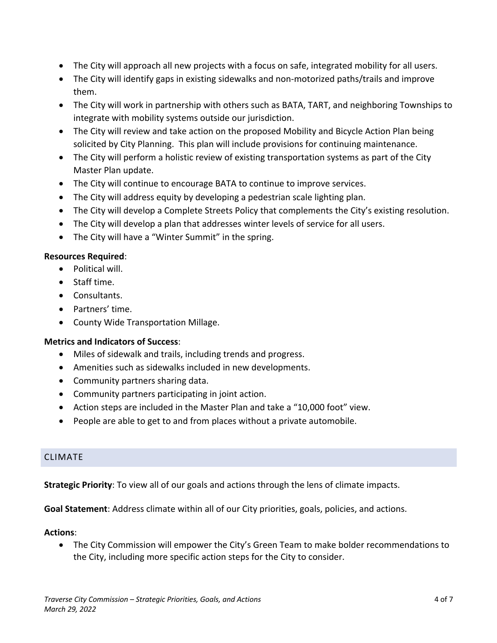- The City will approach all new projects with a focus on safe, integrated mobility for all users.
- The City will identify gaps in existing sidewalks and non-motorized paths/trails and improve them.
- The City will work in partnership with others such as BATA, TART, and neighboring Townships to integrate with mobility systems outside our jurisdiction.
- The City will review and take action on the proposed Mobility and Bicycle Action Plan being solicited by City Planning. This plan will include provisions for continuing maintenance.
- The City will perform a holistic review of existing transportation systems as part of the City Master Plan update.
- The City will continue to encourage BATA to continue to improve services.
- The City will address equity by developing a pedestrian scale lighting plan.
- The City will develop a Complete Streets Policy that complements the City's existing resolution.
- The City will develop a plan that addresses winter levels of service for all users.
- The City will have a "Winter Summit" in the spring.

- Political will.
- Staff time.
- Consultants.
- Partners' time.
- County Wide Transportation Millage.

## **Metrics and Indicators of Success**:

- Miles of sidewalk and trails, including trends and progress.
- Amenities such as sidewalks included in new developments.
- Community partners sharing data.
- Community partners participating in joint action.
- Action steps are included in the Master Plan and take a "10,000 foot" view.
- People are able to get to and from places without a private automobile.

## CLIMATE

**Strategic Priority**: To view all of our goals and actions through the lens of climate impacts.

**Goal Statement**: Address climate within all of our City priorities, goals, policies, and actions.

#### **Actions**:

• The City Commission will empower the City's Green Team to make bolder recommendations to the City, including more specific action steps for the City to consider.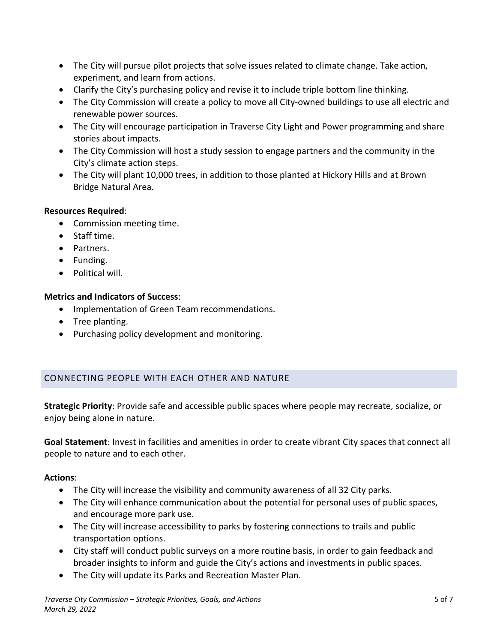- The City will pursue pilot projects that solve issues related to climate change. Take action, experiment, and learn from actions.
- Clarify the City's purchasing policy and revise it to include triple bottom line thinking.
- The City Commission will create a policy to move all City-owned buildings to use all electric and renewable power sources.
- The City will encourage participation in Traverse City Light and Power programming and share stories about impacts.
- The City Commission will host a study session to engage partners and the community in the City's climate action steps.
- The City will plant 10,000 trees, in addition to those planted at Hickory Hills and at Brown Bridge Natural Area.

- Commission meeting time.
- Staff time.
- Partners.
- Funding.
- Political will.

#### **Metrics and Indicators of Success**:

- Implementation of Green Team recommendations.
- Tree planting.
- Purchasing policy development and monitoring.

## CONNECTING PEOPLE WITH EACH OTHER AND NATURE

**Strategic Priority**: Provide safe and accessible public spaces where people may recreate, socialize, or enjoy being alone in nature.

**Goal Statement**: Invest in facilities and amenities in order to create vibrant City spaces that connect all people to nature and to each other.

#### **Actions**:

- The City will increase the visibility and community awareness of all 32 City parks.
- The City will enhance communication about the potential for personal uses of public spaces, and encourage more park use.
- The City will increase accessibility to parks by fostering connections to trails and public transportation options.
- City staff will conduct public surveys on a more routine basis, in order to gain feedback and broader insights to inform and guide the City's actions and investments in public spaces.
- The City will update its Parks and Recreation Master Plan.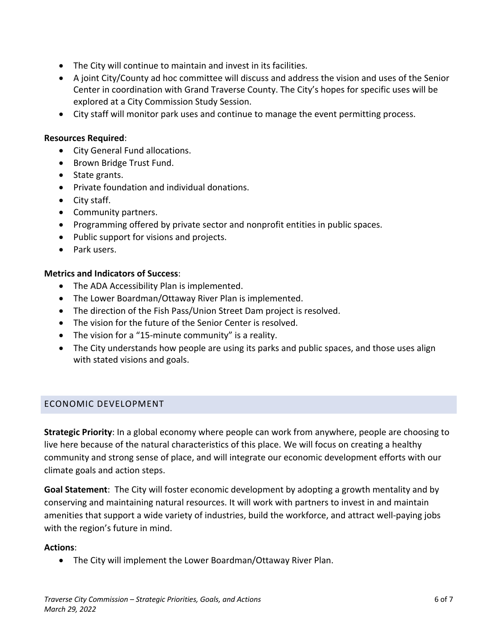- The City will continue to maintain and invest in its facilities.
- A joint City/County ad hoc committee will discuss and address the vision and uses of the Senior Center in coordination with Grand Traverse County. The City's hopes for specific uses will be explored at a City Commission Study Session.
- City staff will monitor park uses and continue to manage the event permitting process.

- City General Fund allocations.
- Brown Bridge Trust Fund.
- State grants.
- Private foundation and individual donations.
- City staff.
- Community partners.
- Programming offered by private sector and nonprofit entities in public spaces.
- Public support for visions and projects.
- Park users.

## **Metrics and Indicators of Success**:

- The ADA Accessibility Plan is implemented.
- The Lower Boardman/Ottaway River Plan is implemented.
- The direction of the Fish Pass/Union Street Dam project is resolved.
- The vision for the future of the Senior Center is resolved.
- The vision for a "15-minute community" is a reality.
- The City understands how people are using its parks and public spaces, and those uses align with stated visions and goals.

## ECONOMIC DEVELOPMENT

**Strategic Priority**: In a global economy where people can work from anywhere, people are choosing to live here because of the natural characteristics of this place. We will focus on creating a healthy community and strong sense of place, and will integrate our economic development efforts with our climate goals and action steps.

**Goal Statement**: The City will foster economic development by adopting a growth mentality and by conserving and maintaining natural resources. It will work with partners to invest in and maintain amenities that support a wide variety of industries, build the workforce, and attract well-paying jobs with the region's future in mind.

#### **Actions**:

• The City will implement the Lower Boardman/Ottaway River Plan.